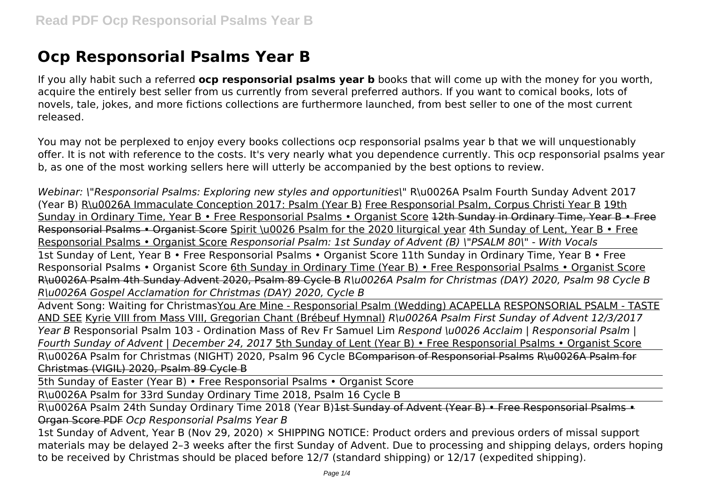# **Ocp Responsorial Psalms Year B**

If you ally habit such a referred **ocp responsorial psalms year b** books that will come up with the money for you worth, acquire the entirely best seller from us currently from several preferred authors. If you want to comical books, lots of novels, tale, jokes, and more fictions collections are furthermore launched, from best seller to one of the most current released.

You may not be perplexed to enjoy every books collections ocp responsorial psalms year b that we will unquestionably offer. It is not with reference to the costs. It's very nearly what you dependence currently. This ocp responsorial psalms year b, as one of the most working sellers here will utterly be accompanied by the best options to review.

*Webinar: \"Responsorial Psalms: Exploring new styles and opportunities\"* R\u0026A Psalm Fourth Sunday Advent 2017 (Year B) R\u0026A Immaculate Conception 2017: Psalm (Year B) Free Responsorial Psalm, Corpus Christi Year B 19th Sunday in Ordinary Time, Year B • Free Responsorial Psalms • Organist Score 12th Sunday in Ordinary Time, Year B • Free Responsorial Psalms • Organist Score Spirit \u0026 Psalm for the 2020 liturgical year 4th Sunday of Lent, Year B • Free Responsorial Psalms • Organist Score *Responsorial Psalm: 1st Sunday of Advent (B) \"PSALM 80\" - With Vocals* 1st Sunday of Lent, Year B • Free Responsorial Psalms • Organist Score 11th Sunday in Ordinary Time, Year B • Free Responsorial Psalms • Organist Score 6th Sunday in Ordinary Time (Year B) • Free Responsorial Psalms • Organist Score R\u0026A Psalm 4th Sunday Advent 2020, Psalm 89 Cycle B *R\u0026A Psalm for Christmas (DAY) 2020, Psalm 98 Cycle B R\u0026A Gospel Acclamation for Christmas (DAY) 2020, Cycle B*

Advent Song: Waiting for ChristmasYou Are Mine - Responsorial Psalm (Wedding) ACAPELLA RESPONSORIAL PSALM - TASTE AND SEE Kyrie VIII from Mass VIII, Gregorian Chant (Brébeuf Hymnal) *R\u0026A Psalm First Sunday of Advent 12/3/2017 Year B* Responsorial Psalm 103 - Ordination Mass of Rev Fr Samuel Lim *Respond \u0026 Acclaim | Responsorial Psalm | Fourth Sunday of Advent | December 24, 2017* 5th Sunday of Lent (Year B) • Free Responsorial Psalms • Organist Score R\u0026A Psalm for Christmas (NIGHT) 2020, Psalm 96 Cycle BComparison of Responsorial Psalms R\u0026A Psalm for Christmas (VIGIL) 2020, Psalm 89 Cycle B

5th Sunday of Easter (Year B) • Free Responsorial Psalms • Organist Score

R\u0026A Psalm for 33rd Sunday Ordinary Time 2018, Psalm 16 Cycle B

R\u0026A Psalm 24th Sunday Ordinary Time 2018 (Year B)<del>1st Sunday of Advent (Year B) • Free Responsorial Psalms •</del> Organ Score PDF *Ocp Responsorial Psalms Year B*

1st Sunday of Advent, Year B (Nov 29, 2020)  $\times$  SHIPPING NOTICE: Product orders and previous orders of missal support materials may be delayed 2–3 weeks after the first Sunday of Advent. Due to processing and shipping delays, orders hoping to be received by Christmas should be placed before 12/7 (standard shipping) or 12/17 (expedited shipping).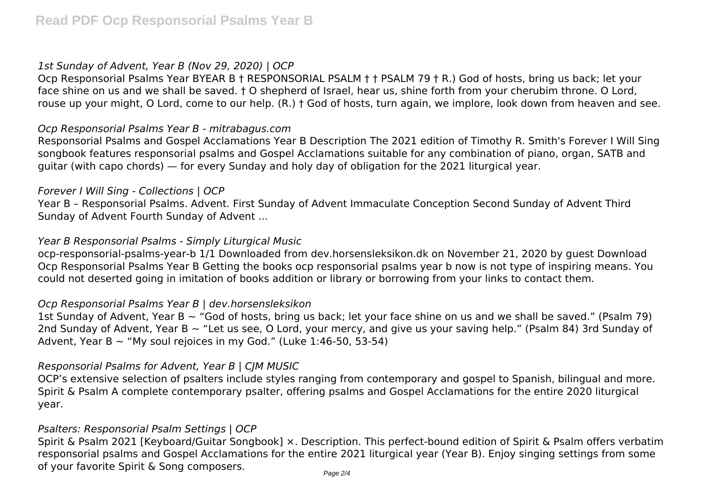## *1st Sunday of Advent, Year B (Nov 29, 2020) | OCP*

Ocp Responsorial Psalms Year BYEAR B † RESPONSORIAL PSALM † † PSALM 79 † R.) God of hosts, bring us back; let your face shine on us and we shall be saved. † O shepherd of Israel, hear us, shine forth from your cherubim throne. O Lord, rouse up your might, O Lord, come to our help. (R.) † God of hosts, turn again, we implore, look down from heaven and see.

## *Ocp Responsorial Psalms Year B - mitrabagus.com*

Responsorial Psalms and Gospel Acclamations Year B Description The 2021 edition of Timothy R. Smith's Forever I Will Sing songbook features responsorial psalms and Gospel Acclamations suitable for any combination of piano, organ, SATB and guitar (with capo chords) — for every Sunday and holy day of obligation for the 2021 liturgical year.

#### *Forever I Will Sing - Collections | OCP*

Year B – Responsorial Psalms. Advent. First Sunday of Advent Immaculate Conception Second Sunday of Advent Third Sunday of Advent Fourth Sunday of Advent ...

#### *Year B Responsorial Psalms - Simply Liturgical Music*

ocp-responsorial-psalms-year-b 1/1 Downloaded from dev.horsensleksikon.dk on November 21, 2020 by guest Download Ocp Responsorial Psalms Year B Getting the books ocp responsorial psalms year b now is not type of inspiring means. You could not deserted going in imitation of books addition or library or borrowing from your links to contact them.

#### *Ocp Responsorial Psalms Year B | dev.horsensleksikon*

1st Sunday of Advent, Year B  $\sim$  "God of hosts, bring us back; let your face shine on us and we shall be saved." (Psalm 79) 2nd Sunday of Advent. Year B ~ "Let us see, O Lord, your mercy, and give us your saving help." (Psalm 84) 3rd Sunday of Advent, Year B  $\sim$  "My soul rejoices in my God." (Luke 1:46-50, 53-54)

## *Responsorial Psalms for Advent, Year B | CJM MUSIC*

OCP's extensive selection of psalters include styles ranging from contemporary and gospel to Spanish, bilingual and more. Spirit & Psalm A complete contemporary psalter, offering psalms and Gospel Acclamations for the entire 2020 liturgical year.

## *Psalters: Responsorial Psalm Settings | OCP*

Spirit & Psalm 2021 [Keyboard/Guitar Songbook] ×. Description. This perfect-bound edition of Spirit & Psalm offers verbatim responsorial psalms and Gospel Acclamations for the entire 2021 liturgical year (Year B). Enjoy singing settings from some of your favorite Spirit & Song composers.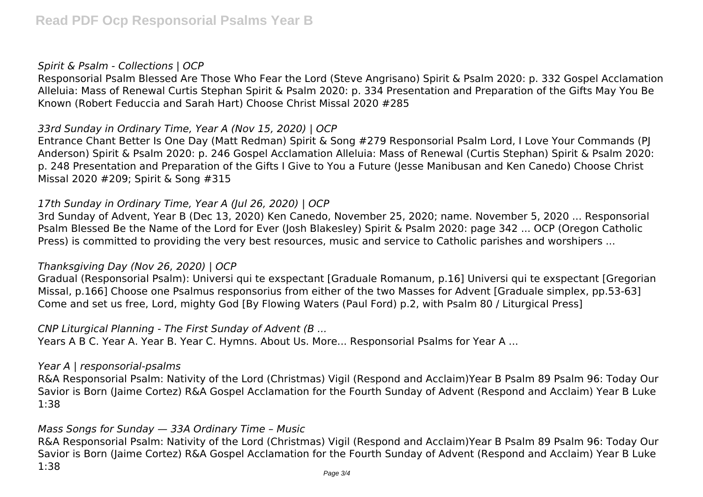#### *Spirit & Psalm - Collections | OCP*

Responsorial Psalm Blessed Are Those Who Fear the Lord (Steve Angrisano) Spirit & Psalm 2020: p. 332 Gospel Acclamation Alleluia: Mass of Renewal Curtis Stephan Spirit & Psalm 2020: p. 334 Presentation and Preparation of the Gifts May You Be Known (Robert Feduccia and Sarah Hart) Choose Christ Missal 2020 #285

## *33rd Sunday in Ordinary Time, Year A (Nov 15, 2020) | OCP*

Entrance Chant Better Is One Day (Matt Redman) Spirit & Song #279 Responsorial Psalm Lord, I Love Your Commands (PJ Anderson) Spirit & Psalm 2020: p. 246 Gospel Acclamation Alleluia: Mass of Renewal (Curtis Stephan) Spirit & Psalm 2020: p. 248 Presentation and Preparation of the Gifts I Give to You a Future (Jesse Manibusan and Ken Canedo) Choose Christ Missal 2020 #209; Spirit & Song #315

## *17th Sunday in Ordinary Time, Year A (Jul 26, 2020) | OCP*

3rd Sunday of Advent, Year B (Dec 13, 2020) Ken Canedo, November 25, 2020; name. November 5, 2020 ... Responsorial Psalm Blessed Be the Name of the Lord for Ever (Josh Blakesley) Spirit & Psalm 2020: page 342 ... OCP (Oregon Catholic Press) is committed to providing the very best resources, music and service to Catholic parishes and worshipers ...

## *Thanksgiving Day (Nov 26, 2020) | OCP*

Gradual (Responsorial Psalm): Universi qui te exspectant [Graduale Romanum, p.16] Universi qui te exspectant [Gregorian Missal, p.166] Choose one Psalmus responsorius from either of the two Masses for Advent [Graduale simplex, pp.53-63] Come and set us free, Lord, mighty God [By Flowing Waters (Paul Ford) p.2, with Psalm 80 / Liturgical Press]

#### *CNP Liturgical Planning - The First Sunday of Advent (B ...*

Years A B C. Year A. Year B. Year C. Hymns. About Us. More... Responsorial Psalms for Year A ...

## *Year A | responsorial-psalms*

R&A Responsorial Psalm: Nativity of the Lord (Christmas) Vigil (Respond and Acclaim)Year B Psalm 89 Psalm 96: Today Our Savior is Born (Jaime Cortez) R&A Gospel Acclamation for the Fourth Sunday of Advent (Respond and Acclaim) Year B Luke 1:38

## *Mass Songs for Sunday — 33A Ordinary Time – Music*

R&A Responsorial Psalm: Nativity of the Lord (Christmas) Vigil (Respond and Acclaim)Year B Psalm 89 Psalm 96: Today Our Savior is Born (Jaime Cortez) R&A Gospel Acclamation for the Fourth Sunday of Advent (Respond and Acclaim) Year B Luke 1:38